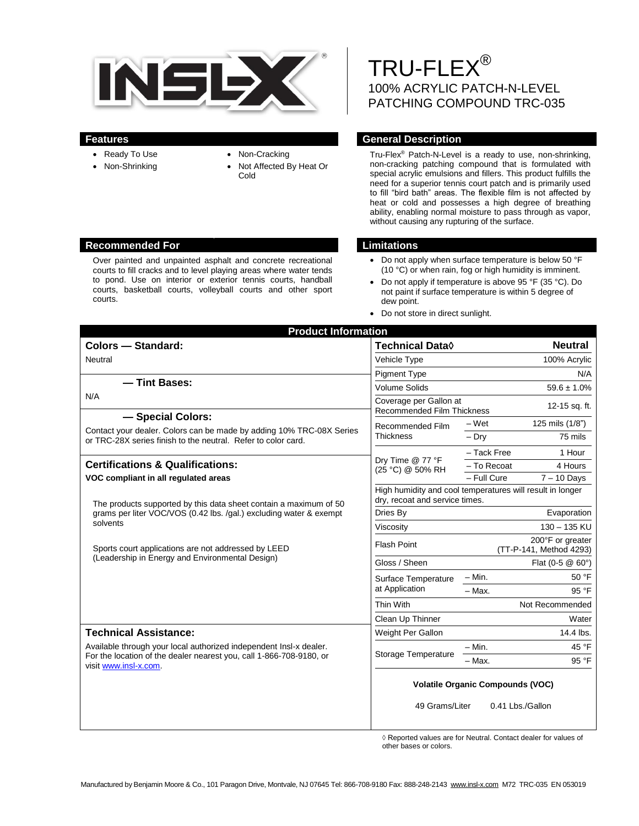

Over painted and unpainted asphalt and concrete recreational

courts, basketball courts, volleyball courts and other sport

courts.

- Ready To Use
- Non-Shrinking
- Non-Cracking
- Not Affected By Heat Or Cold

TRU-FLEX® 100% ACRYLIC PATCH-N-LEVEL PATCHING COMPOUND TRC-035

### **Features General Description**

Tru-Flex® Patch-N-Level is a ready to use, non-shrinking, non-cracking patching compound that is formulated with special acrylic emulsions and fillers. This product fulfills the need for a superior tennis court patch and is primarily used to fill "bird bath" areas. The flexible film is not affected by heat or cold and possesses a high degree of breathing ability, enabling normal moisture to pass through as vapor, without causing any rupturing of the surface.

### **Recommended For Limitations**

- Do not apply when surface temperature is below 50 °F (10 °C) or when rain, fog or high humidity is imminent.
- Do not apply if temperature is above 95 °F (35 °C). Do not paint if surface temperature is within 5 degree of dew point.
- Do not store in direct sunlight.

| <b>Product Information</b>                                                                                                                                         |                                                                                             |                                             |                  |
|--------------------------------------------------------------------------------------------------------------------------------------------------------------------|---------------------------------------------------------------------------------------------|---------------------------------------------|------------------|
| <b>Colors - Standard:</b>                                                                                                                                          | <b>Technical Data</b> ◊                                                                     |                                             | <b>Neutral</b>   |
| Neutral                                                                                                                                                            | Vehicle Type                                                                                |                                             | 100% Acrylic     |
|                                                                                                                                                                    | <b>Pigment Type</b>                                                                         | N/A                                         |                  |
| - Tint Bases:                                                                                                                                                      | <b>Volume Solids</b>                                                                        |                                             | $59.6 \pm 1.0\%$ |
| N/A                                                                                                                                                                | Coverage per Gallon at<br><b>Recommended Film Thickness</b>                                 | 12-15 sq. ft.                               |                  |
| - Special Colors:<br>Contact your dealer. Colors can be made by adding 10% TRC-08X Series<br>or TRC-28X series finish to the neutral. Refer to color card.         | Recommended Film<br><b>Thickness</b>                                                        | – Wet                                       | 125 mils (1/8")  |
|                                                                                                                                                                    |                                                                                             | $-$ Drv                                     | 75 mils          |
|                                                                                                                                                                    | Dry Time @ 77 °F<br>(25 °C) @ 50% RH                                                        | - Tack Free                                 | 1 Hour           |
| <b>Certifications &amp; Qualifications:</b>                                                                                                                        |                                                                                             | - To Recoat                                 | 4 Hours          |
| VOC compliant in all regulated areas                                                                                                                               |                                                                                             | - Full Cure                                 | $7 - 10$ Days    |
| The products supported by this data sheet contain a maximum of 50<br>grams per liter VOC/VOS (0.42 lbs. /gal.) excluding water & exempt<br>solvents                | High humidity and cool temperatures will result in longer<br>dry, recoat and service times. |                                             |                  |
|                                                                                                                                                                    | Dries By                                                                                    | Evaporation                                 |                  |
|                                                                                                                                                                    | Viscosity                                                                                   | $130 - 135$ KU                              |                  |
| Sports court applications are not addressed by LEED<br>(Leadership in Energy and Environmental Design)                                                             | <b>Flash Point</b>                                                                          | 200°F or greater<br>(TT-P-141, Method 4293) |                  |
|                                                                                                                                                                    | Gloss / Sheen                                                                               | Flat $(0-5 \& 60^{\circ})$                  |                  |
|                                                                                                                                                                    | Surface Temperature<br>at Application                                                       | – Min.                                      | 50 °F            |
|                                                                                                                                                                    |                                                                                             | $-$ Max.                                    | 95 °F            |
|                                                                                                                                                                    | Thin With                                                                                   | Not Recommended                             |                  |
|                                                                                                                                                                    | Clean Up Thinner                                                                            |                                             | Water            |
| <b>Technical Assistance:</b>                                                                                                                                       | Weight Per Gallon                                                                           |                                             | 14.4 lbs.        |
| Available through your local authorized independent Insl-x dealer.<br>For the location of the dealer nearest you, call 1-866-708-9180, or<br>visit www.insl-x.com. | Storage Temperature                                                                         | – Min.                                      | 45 °F            |
|                                                                                                                                                                    |                                                                                             | - Max.                                      | 95 °F            |
|                                                                                                                                                                    | <b>Volatile Organic Compounds (VOC)</b>                                                     |                                             |                  |
|                                                                                                                                                                    | 49 Grams/Liter                                                                              |                                             | 0.41 Lbs./Gallon |

◊ Reported values are for Neutral. Contact dealer for values of other bases or colors.

#### courts to fill cracks and to level playing areas where water tends to pond. Use on interior or exterior tennis courts, handball